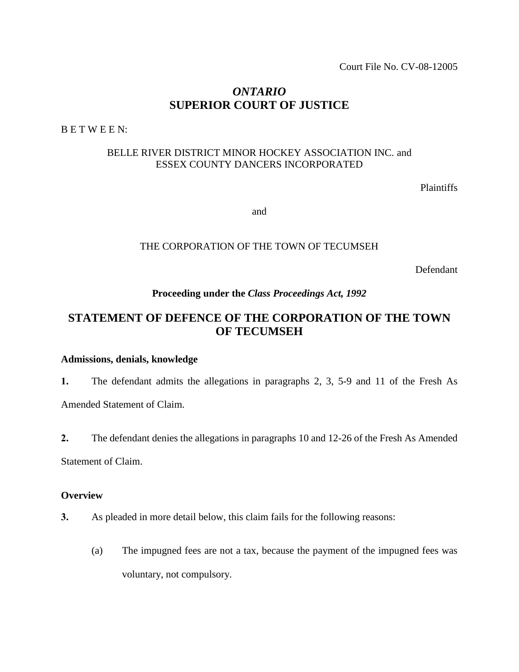Court File No. CV-08-12005

## *ONTARIO* **SUPERIOR COURT OF JUSTICE**

B E T W E E N:

## BELLE RIVER DISTRICT MINOR HOCKEY ASSOCIATION INC. and ESSEX COUNTY DANCERS INCORPORATED

Plaintiffs

and

### THE CORPORATION OF THE TOWN OF TECUMSEH

Defendant

## **Proceeding under the** *Class Proceedings Act, 1992*

# **STATEMENT OF DEFENCE OF THE CORPORATION OF THE TOWN OF TECUMSEH**

## **Admissions, denials, knowledge**

**1.** The defendant admits the allegations in paragraphs 2, 3, 5-9 and 11 of the Fresh As Amended Statement of Claim.

**2.** The defendant denies the allegations in paragraphs 10 and 12-26 of the Fresh As Amended Statement of Claim.

#### **Overview**

- **3.** As pleaded in more detail below, this claim fails for the following reasons:
	- (a) The impugned fees are not a tax, because the payment of the impugned fees was voluntary, not compulsory.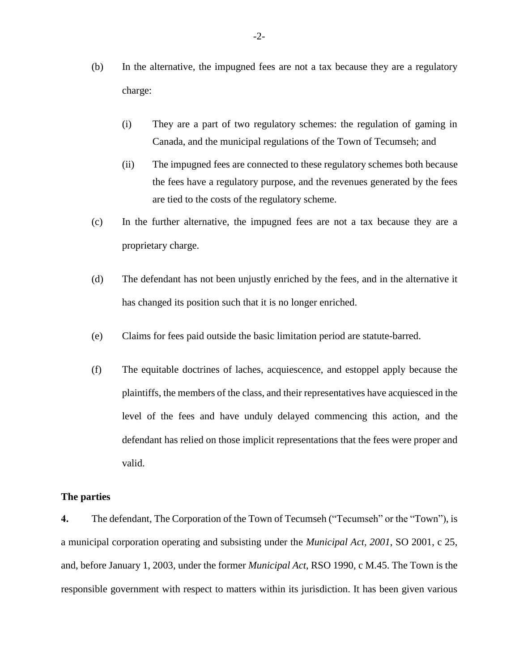- (b) In the alternative, the impugned fees are not a tax because they are a regulatory charge:
	- (i) They are a part of two regulatory schemes: the regulation of gaming in Canada, and the municipal regulations of the Town of Tecumseh; and
	- (ii) The impugned fees are connected to these regulatory schemes both because the fees have a regulatory purpose, and the revenues generated by the fees are tied to the costs of the regulatory scheme.
- (c) In the further alternative, the impugned fees are not a tax because they are a proprietary charge.
- (d) The defendant has not been unjustly enriched by the fees, and in the alternative it has changed its position such that it is no longer enriched.
- (e) Claims for fees paid outside the basic limitation period are statute-barred.
- (f) The equitable doctrines of laches, acquiescence, and estoppel apply because the plaintiffs, the members of the class, and their representatives have acquiesced in the level of the fees and have unduly delayed commencing this action, and the defendant has relied on those implicit representations that the fees were proper and valid.

### **The parties**

**4.** The defendant, The Corporation of the Town of Tecumseh ("Tecumseh" or the "Town"), is a municipal corporation operating and subsisting under the *Municipal Act, 2001*, SO 2001, c 25, and, before January 1, 2003, under the former *Municipal Act*, RSO 1990, c M.45. The Town is the responsible government with respect to matters within its jurisdiction. It has been given various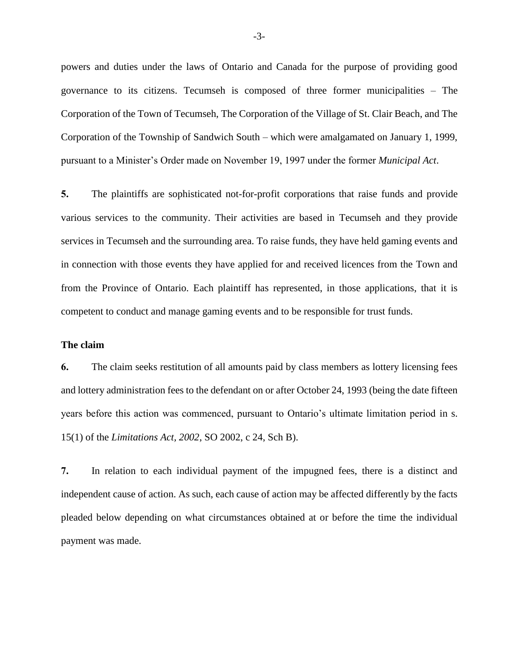powers and duties under the laws of Ontario and Canada for the purpose of providing good governance to its citizens. Tecumseh is composed of three former municipalities – The Corporation of the Town of Tecumseh, The Corporation of the Village of St. Clair Beach, and The Corporation of the Township of Sandwich South – which were amalgamated on January 1, 1999, pursuant to a Minister's Order made on November 19, 1997 under the former *Municipal Act*.

**5.** The plaintiffs are sophisticated not-for-profit corporations that raise funds and provide various services to the community. Their activities are based in Tecumseh and they provide services in Tecumseh and the surrounding area. To raise funds, they have held gaming events and in connection with those events they have applied for and received licences from the Town and from the Province of Ontario. Each plaintiff has represented, in those applications, that it is competent to conduct and manage gaming events and to be responsible for trust funds.

#### **The claim**

**6.** The claim seeks restitution of all amounts paid by class members as lottery licensing fees and lottery administration fees to the defendant on or after October 24, 1993 (being the date fifteen years before this action was commenced, pursuant to Ontario's ultimate limitation period in s. 15(1) of the *Limitations Act, 2002*, SO 2002, c 24, Sch B).

**7.** In relation to each individual payment of the impugned fees, there is a distinct and independent cause of action. As such, each cause of action may be affected differently by the facts pleaded below depending on what circumstances obtained at or before the time the individual payment was made.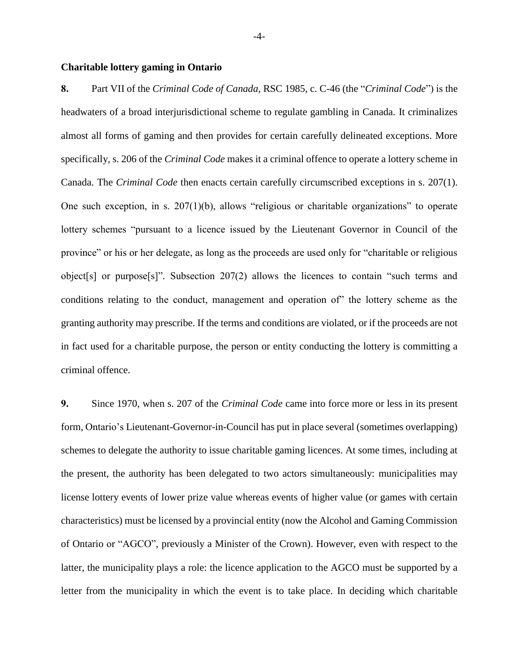#### **Charitable lottery gaming in Ontario**

**8.** Part VII of the *Criminal Code of Canada,* RSC 1985, c. C-46 (the "*Criminal Code*") is the headwaters of a broad interjurisdictional scheme to regulate gambling in Canada. It criminalizes almost all forms of gaming and then provides for certain carefully delineated exceptions. More specifically, s. 206 of the *Criminal Code* makes it a criminal offence to operate a lottery scheme in Canada. The *Criminal Code* then enacts certain carefully circumscribed exceptions in s. 207(1). One such exception, in s. 207(1)(b), allows "religious or charitable organizations" to operate lottery schemes "pursuant to a licence issued by the Lieutenant Governor in Council of the province" or his or her delegate, as long as the proceeds are used only for "charitable or religious object[s] or purpose[s]". Subsection 207(2) allows the licences to contain "such terms and conditions relating to the conduct, management and operation of" the lottery scheme as the granting authority may prescribe. If the terms and conditions are violated, or if the proceeds are not in fact used for a charitable purpose, the person or entity conducting the lottery is committing a criminal offence.

**9.** Since 1970, when s. 207 of the *Criminal Code* came into force more or less in its present form, Ontario's Lieutenant-Governor-in-Council has put in place several (sometimes overlapping) schemes to delegate the authority to issue charitable gaming licences. At some times, including at the present, the authority has been delegated to two actors simultaneously: municipalities may license lottery events of lower prize value whereas events of higher value (or games with certain characteristics) must be licensed by a provincial entity (now the Alcohol and Gaming Commission of Ontario or "AGCO", previously a Minister of the Crown). However, even with respect to the latter, the municipality plays a role: the licence application to the AGCO must be supported by a letter from the municipality in which the event is to take place. In deciding which charitable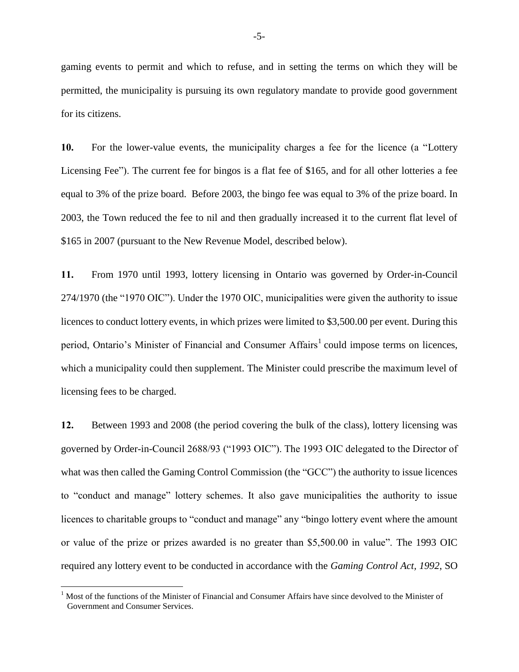gaming events to permit and which to refuse, and in setting the terms on which they will be permitted, the municipality is pursuing its own regulatory mandate to provide good government for its citizens.

**10.** For the lower-value events, the municipality charges a fee for the licence (a "Lottery Licensing Fee"). The current fee for bingos is a flat fee of \$165, and for all other lotteries a fee equal to 3% of the prize board. Before 2003, the bingo fee was equal to 3% of the prize board. In 2003, the Town reduced the fee to nil and then gradually increased it to the current flat level of \$165 in 2007 (pursuant to the New Revenue Model, described below).

**11.** From 1970 until 1993, lottery licensing in Ontario was governed by Order-in-Council 274/1970 (the "1970 OIC"). Under the 1970 OIC, municipalities were given the authority to issue licences to conduct lottery events, in which prizes were limited to \$3,500.00 per event. During this period, Ontario's Minister of Financial and Consumer Affairs<sup>1</sup> could impose terms on licences, which a municipality could then supplement. The Minister could prescribe the maximum level of licensing fees to be charged.

**12.** Between 1993 and 2008 (the period covering the bulk of the class), lottery licensing was governed by Order-in-Council 2688/93 ("1993 OIC"). The 1993 OIC delegated to the Director of what was then called the Gaming Control Commission (the "GCC") the authority to issue licences to "conduct and manage" lottery schemes. It also gave municipalities the authority to issue licences to charitable groups to "conduct and manage" any "bingo lottery event where the amount or value of the prize or prizes awarded is no greater than \$5,500.00 in value". The 1993 OIC required any lottery event to be conducted in accordance with the *Gaming Control Act, 1992*, SO

 $\overline{a}$ 

<sup>&</sup>lt;sup>1</sup> Most of the functions of the Minister of Financial and Consumer Affairs have since devolved to the Minister of Government and Consumer Services.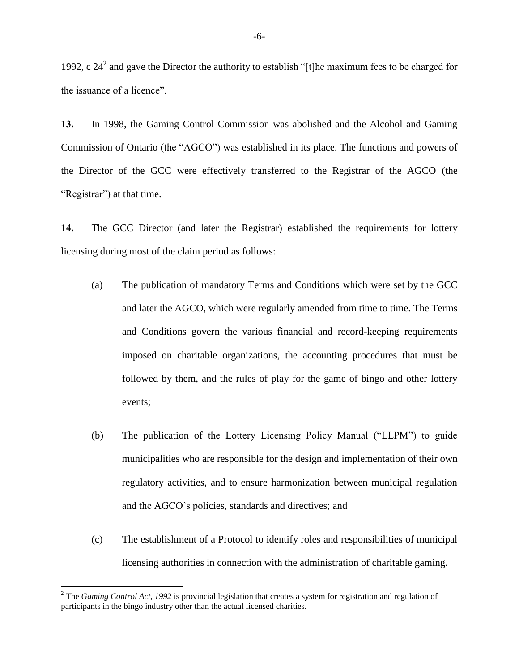1992, c  $24^2$  and gave the Director the authority to establish "[t]he maximum fees to be charged for the issuance of a licence".

**13.** In 1998, the Gaming Control Commission was abolished and the Alcohol and Gaming Commission of Ontario (the "AGCO") was established in its place. The functions and powers of the Director of the GCC were effectively transferred to the Registrar of the AGCO (the "Registrar") at that time.

**14.** The GCC Director (and later the Registrar) established the requirements for lottery licensing during most of the claim period as follows:

- (a) The publication of mandatory Terms and Conditions which were set by the GCC and later the AGCO, which were regularly amended from time to time. The Terms and Conditions govern the various financial and record-keeping requirements imposed on charitable organizations, the accounting procedures that must be followed by them, and the rules of play for the game of bingo and other lottery events;
- (b) The publication of the Lottery Licensing Policy Manual ("LLPM") to guide municipalities who are responsible for the design and implementation of their own regulatory activities, and to ensure harmonization between municipal regulation and the AGCO's policies, standards and directives; and
- (c) The establishment of a Protocol to identify roles and responsibilities of municipal licensing authorities in connection with the administration of charitable gaming.

 $\overline{a}$ 

<sup>2</sup> The *Gaming Control Act, 1992* is provincial legislation that creates a system for registration and regulation of participants in the bingo industry other than the actual licensed charities.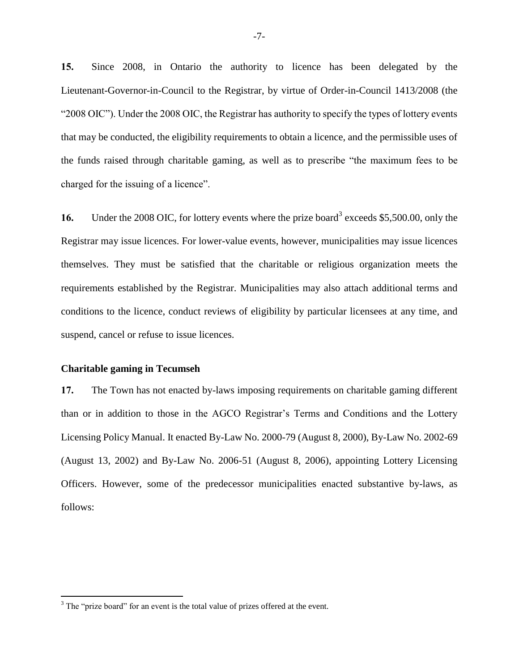**15.** Since 2008, in Ontario the authority to licence has been delegated by the Lieutenant-Governor-in-Council to the Registrar, by virtue of Order-in-Council 1413/2008 (the "2008 OIC"). Under the 2008 OIC, the Registrar has authority to specify the types of lottery events that may be conducted, the eligibility requirements to obtain a licence, and the permissible uses of the funds raised through charitable gaming, as well as to prescribe "the maximum fees to be charged for the issuing of a licence".

16. Under the 2008 OIC, for lottery events where the prize board<sup>3</sup> exceeds \$5,500.00, only the Registrar may issue licences. For lower-value events, however, municipalities may issue licences themselves. They must be satisfied that the charitable or religious organization meets the requirements established by the Registrar. Municipalities may also attach additional terms and conditions to the licence, conduct reviews of eligibility by particular licensees at any time, and suspend, cancel or refuse to issue licences.

#### **Charitable gaming in Tecumseh**

 $\overline{a}$ 

**17.** The Town has not enacted by-laws imposing requirements on charitable gaming different than or in addition to those in the AGCO Registrar's Terms and Conditions and the Lottery Licensing Policy Manual. It enacted By-Law No. 2000-79 (August 8, 2000), By-Law No. 2002-69 (August 13, 2002) and By-Law No. 2006-51 (August 8, 2006), appointing Lottery Licensing Officers. However, some of the predecessor municipalities enacted substantive by-laws, as follows:

<sup>&</sup>lt;sup>3</sup> The "prize board" for an event is the total value of prizes offered at the event.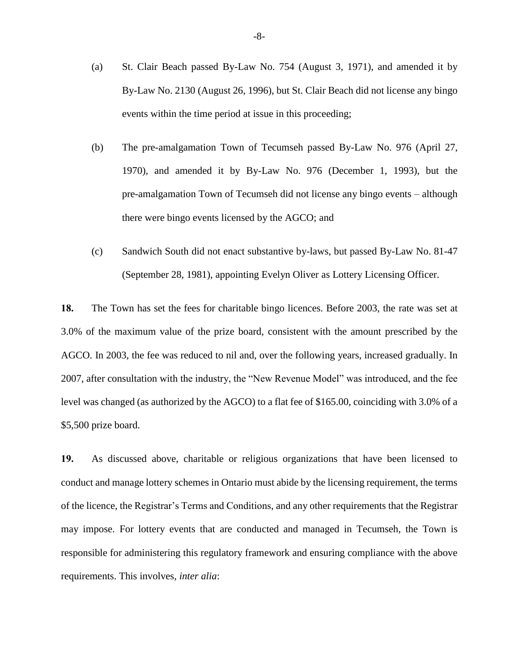- (a) St. Clair Beach passed By-Law No. 754 (August 3, 1971), and amended it by By-Law No. 2130 (August 26, 1996), but St. Clair Beach did not license any bingo events within the time period at issue in this proceeding;
- (b) The pre-amalgamation Town of Tecumseh passed By-Law No. 976 (April 27, 1970), and amended it by By-Law No. 976 (December 1, 1993), but the pre-amalgamation Town of Tecumseh did not license any bingo events – although there were bingo events licensed by the AGCO; and
- (c) Sandwich South did not enact substantive by-laws, but passed By-Law No. 81-47 (September 28, 1981), appointing Evelyn Oliver as Lottery Licensing Officer.

**18.** The Town has set the fees for charitable bingo licences. Before 2003, the rate was set at 3.0% of the maximum value of the prize board, consistent with the amount prescribed by the AGCO. In 2003, the fee was reduced to nil and, over the following years, increased gradually. In 2007, after consultation with the industry, the "New Revenue Model" was introduced, and the fee level was changed (as authorized by the AGCO) to a flat fee of \$165.00, coinciding with 3.0% of a \$5,500 prize board.

**19.** As discussed above, charitable or religious organizations that have been licensed to conduct and manage lottery schemes in Ontario must abide by the licensing requirement, the terms of the licence, the Registrar's Terms and Conditions, and any other requirements that the Registrar may impose. For lottery events that are conducted and managed in Tecumseh, the Town is responsible for administering this regulatory framework and ensuring compliance with the above requirements. This involves, *inter alia*: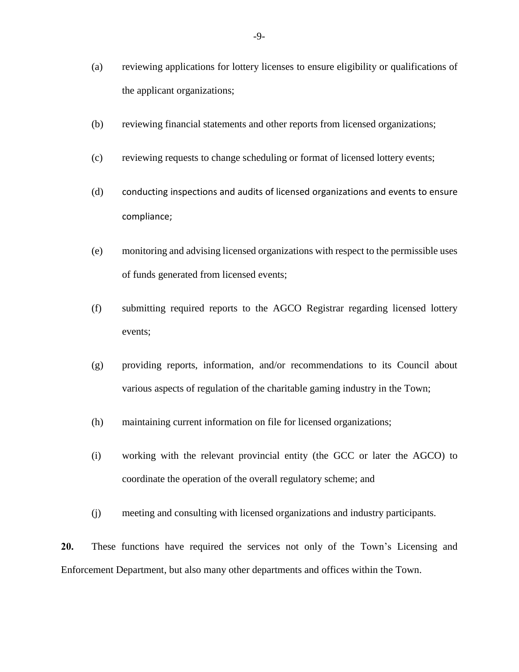- (a) reviewing applications for lottery licenses to ensure eligibility or qualifications of the applicant organizations;
- (b) reviewing financial statements and other reports from licensed organizations;
- (c) reviewing requests to change scheduling or format of licensed lottery events;
- (d) conducting inspections and audits of licensed organizations and events to ensure compliance;
- (e) monitoring and advising licensed organizations with respect to the permissible uses of funds generated from licensed events;
- (f) submitting required reports to the AGCO Registrar regarding licensed lottery events;
- (g) providing reports, information, and/or recommendations to its Council about various aspects of regulation of the charitable gaming industry in the Town;
- (h) maintaining current information on file for licensed organizations;
- (i) working with the relevant provincial entity (the GCC or later the AGCO) to coordinate the operation of the overall regulatory scheme; and
- (j) meeting and consulting with licensed organizations and industry participants.

**20.** These functions have required the services not only of the Town's Licensing and Enforcement Department, but also many other departments and offices within the Town.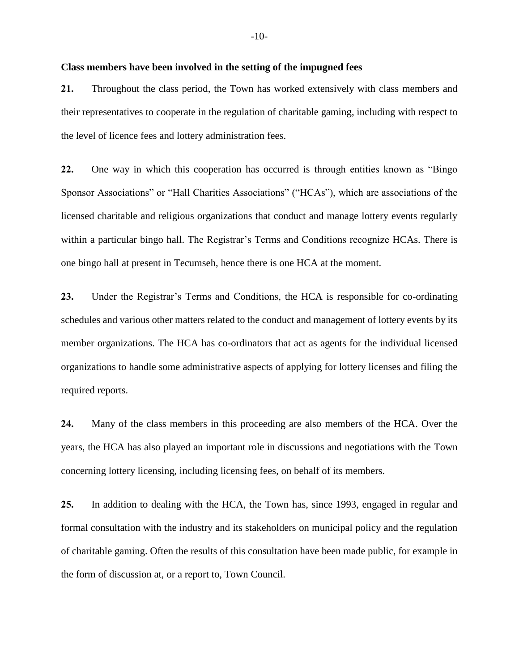#### **Class members have been involved in the setting of the impugned fees**

**21.** Throughout the class period, the Town has worked extensively with class members and their representatives to cooperate in the regulation of charitable gaming, including with respect to the level of licence fees and lottery administration fees.

**22.** One way in which this cooperation has occurred is through entities known as "Bingo Sponsor Associations" or "Hall Charities Associations" ("HCAs"), which are associations of the licensed charitable and religious organizations that conduct and manage lottery events regularly within a particular bingo hall. The Registrar's Terms and Conditions recognize HCAs. There is one bingo hall at present in Tecumseh, hence there is one HCA at the moment.

**23.** Under the Registrar's Terms and Conditions, the HCA is responsible for co-ordinating schedules and various other matters related to the conduct and management of lottery events by its member organizations. The HCA has co-ordinators that act as agents for the individual licensed organizations to handle some administrative aspects of applying for lottery licenses and filing the required reports.

**24.** Many of the class members in this proceeding are also members of the HCA. Over the years, the HCA has also played an important role in discussions and negotiations with the Town concerning lottery licensing, including licensing fees, on behalf of its members.

**25.** In addition to dealing with the HCA, the Town has, since 1993, engaged in regular and formal consultation with the industry and its stakeholders on municipal policy and the regulation of charitable gaming. Often the results of this consultation have been made public, for example in the form of discussion at, or a report to, Town Council.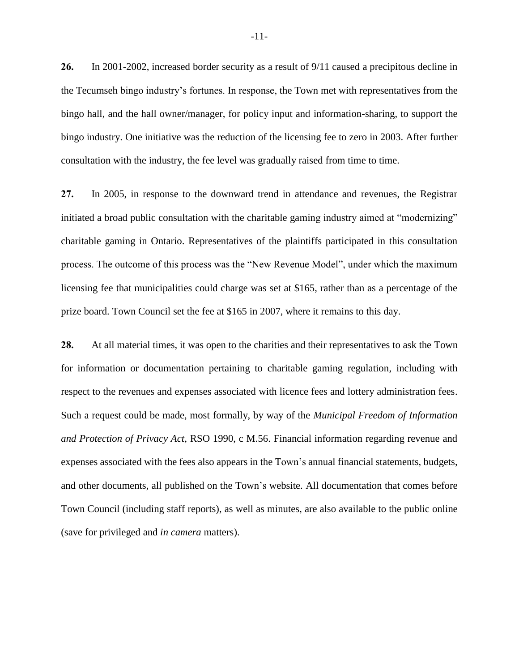**26.** In 2001-2002, increased border security as a result of 9/11 caused a precipitous decline in the Tecumseh bingo industry's fortunes. In response, the Town met with representatives from the bingo hall, and the hall owner/manager, for policy input and information-sharing, to support the bingo industry. One initiative was the reduction of the licensing fee to zero in 2003. After further consultation with the industry, the fee level was gradually raised from time to time.

**27.** In 2005, in response to the downward trend in attendance and revenues, the Registrar initiated a broad public consultation with the charitable gaming industry aimed at "modernizing" charitable gaming in Ontario. Representatives of the plaintiffs participated in this consultation process. The outcome of this process was the "New Revenue Model", under which the maximum licensing fee that municipalities could charge was set at \$165, rather than as a percentage of the prize board. Town Council set the fee at \$165 in 2007, where it remains to this day.

**28.** At all material times, it was open to the charities and their representatives to ask the Town for information or documentation pertaining to charitable gaming regulation, including with respect to the revenues and expenses associated with licence fees and lottery administration fees. Such a request could be made, most formally, by way of the *Municipal Freedom of Information and Protection of Privacy Act*, RSO 1990, c M.56. Financial information regarding revenue and expenses associated with the fees also appears in the Town's annual financial statements, budgets, and other documents, all published on the Town's website. All documentation that comes before Town Council (including staff reports), as well as minutes, are also available to the public online (save for privileged and *in camera* matters).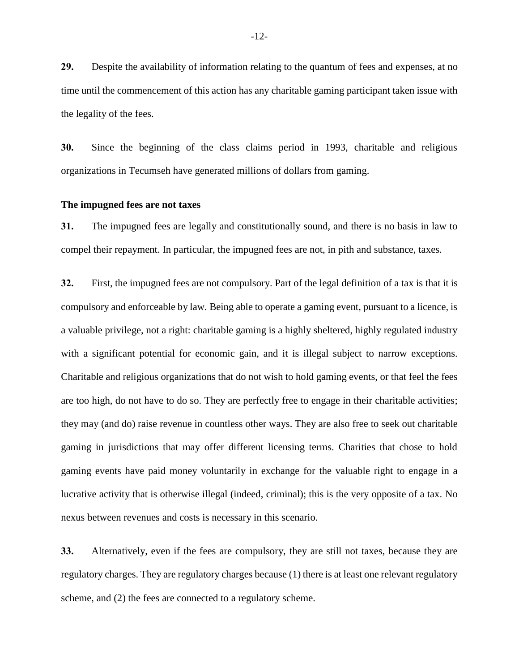**29.** Despite the availability of information relating to the quantum of fees and expenses, at no time until the commencement of this action has any charitable gaming participant taken issue with the legality of the fees.

**30.** Since the beginning of the class claims period in 1993, charitable and religious organizations in Tecumseh have generated millions of dollars from gaming.

#### **The impugned fees are not taxes**

**31.** The impugned fees are legally and constitutionally sound, and there is no basis in law to compel their repayment. In particular, the impugned fees are not, in pith and substance, taxes.

**32.** First, the impugned fees are not compulsory. Part of the legal definition of a tax is that it is compulsory and enforceable by law. Being able to operate a gaming event, pursuant to a licence, is a valuable privilege, not a right: charitable gaming is a highly sheltered, highly regulated industry with a significant potential for economic gain, and it is illegal subject to narrow exceptions. Charitable and religious organizations that do not wish to hold gaming events, or that feel the fees are too high, do not have to do so. They are perfectly free to engage in their charitable activities; they may (and do) raise revenue in countless other ways. They are also free to seek out charitable gaming in jurisdictions that may offer different licensing terms. Charities that chose to hold gaming events have paid money voluntarily in exchange for the valuable right to engage in a lucrative activity that is otherwise illegal (indeed, criminal); this is the very opposite of a tax. No nexus between revenues and costs is necessary in this scenario.

**33.** Alternatively, even if the fees are compulsory, they are still not taxes, because they are regulatory charges. They are regulatory charges because (1) there is at least one relevant regulatory scheme, and (2) the fees are connected to a regulatory scheme.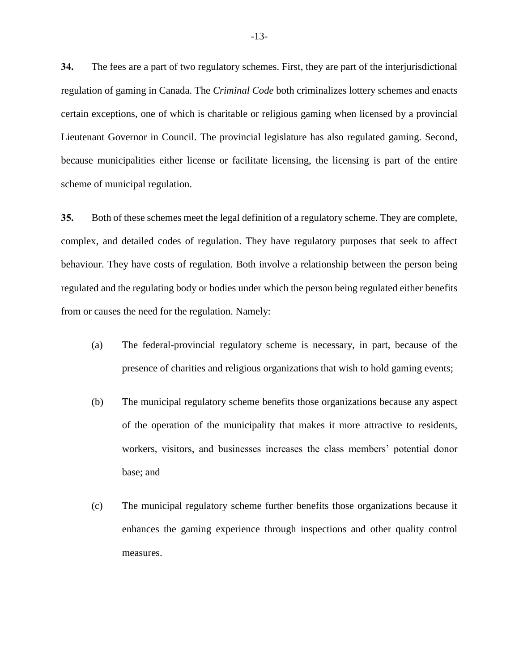**34.** The fees are a part of two regulatory schemes. First, they are part of the interjurisdictional regulation of gaming in Canada. The *Criminal Code* both criminalizes lottery schemes and enacts certain exceptions, one of which is charitable or religious gaming when licensed by a provincial Lieutenant Governor in Council. The provincial legislature has also regulated gaming. Second, because municipalities either license or facilitate licensing, the licensing is part of the entire scheme of municipal regulation.

**35.** Both of these schemes meet the legal definition of a regulatory scheme. They are complete, complex, and detailed codes of regulation. They have regulatory purposes that seek to affect behaviour. They have costs of regulation. Both involve a relationship between the person being regulated and the regulating body or bodies under which the person being regulated either benefits from or causes the need for the regulation. Namely:

- (a) The federal-provincial regulatory scheme is necessary, in part, because of the presence of charities and religious organizations that wish to hold gaming events;
- (b) The municipal regulatory scheme benefits those organizations because any aspect of the operation of the municipality that makes it more attractive to residents, workers, visitors, and businesses increases the class members' potential donor base; and
- (c) The municipal regulatory scheme further benefits those organizations because it enhances the gaming experience through inspections and other quality control measures.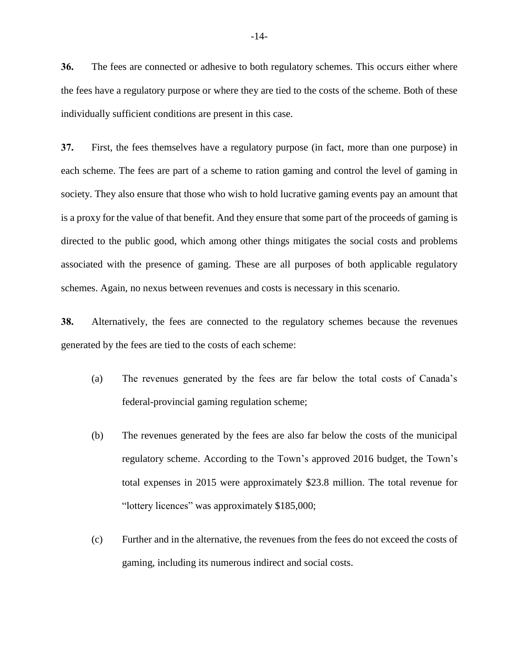**36.** The fees are connected or adhesive to both regulatory schemes. This occurs either where the fees have a regulatory purpose or where they are tied to the costs of the scheme. Both of these individually sufficient conditions are present in this case.

**37.** First, the fees themselves have a regulatory purpose (in fact, more than one purpose) in each scheme. The fees are part of a scheme to ration gaming and control the level of gaming in society. They also ensure that those who wish to hold lucrative gaming events pay an amount that is a proxy for the value of that benefit. And they ensure that some part of the proceeds of gaming is directed to the public good, which among other things mitigates the social costs and problems associated with the presence of gaming. These are all purposes of both applicable regulatory schemes. Again, no nexus between revenues and costs is necessary in this scenario.

**38.** Alternatively, the fees are connected to the regulatory schemes because the revenues generated by the fees are tied to the costs of each scheme:

- (a) The revenues generated by the fees are far below the total costs of Canada's federal-provincial gaming regulation scheme;
- (b) The revenues generated by the fees are also far below the costs of the municipal regulatory scheme. According to the Town's approved 2016 budget, the Town's total expenses in 2015 were approximately \$23.8 million. The total revenue for "lottery licences" was approximately \$185,000;
- (c) Further and in the alternative, the revenues from the fees do not exceed the costs of gaming, including its numerous indirect and social costs.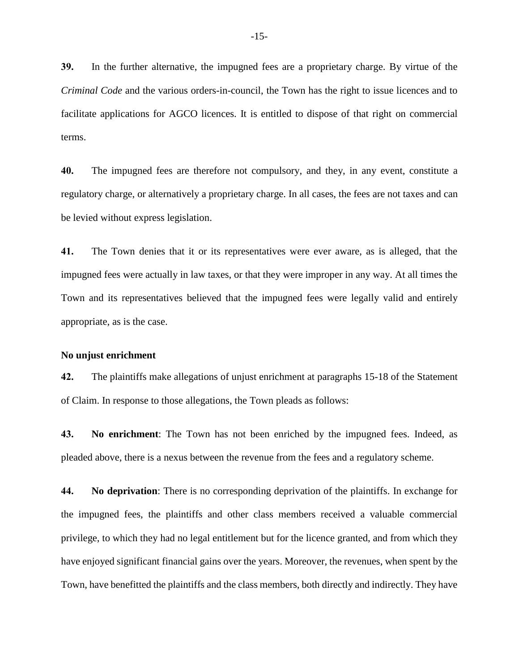**39.** In the further alternative, the impugned fees are a proprietary charge. By virtue of the *Criminal Code* and the various orders-in-council, the Town has the right to issue licences and to facilitate applications for AGCO licences. It is entitled to dispose of that right on commercial terms.

**40.** The impugned fees are therefore not compulsory, and they, in any event, constitute a regulatory charge, or alternatively a proprietary charge. In all cases, the fees are not taxes and can be levied without express legislation.

**41.** The Town denies that it or its representatives were ever aware, as is alleged, that the impugned fees were actually in law taxes, or that they were improper in any way. At all times the Town and its representatives believed that the impugned fees were legally valid and entirely appropriate, as is the case.

#### **No unjust enrichment**

**42.** The plaintiffs make allegations of unjust enrichment at paragraphs 15-18 of the Statement of Claim. In response to those allegations, the Town pleads as follows:

**43. No enrichment**: The Town has not been enriched by the impugned fees. Indeed, as pleaded above, there is a nexus between the revenue from the fees and a regulatory scheme.

**44. No deprivation**: There is no corresponding deprivation of the plaintiffs. In exchange for the impugned fees, the plaintiffs and other class members received a valuable commercial privilege, to which they had no legal entitlement but for the licence granted, and from which they have enjoyed significant financial gains over the years. Moreover, the revenues, when spent by the Town, have benefitted the plaintiffs and the class members, both directly and indirectly. They have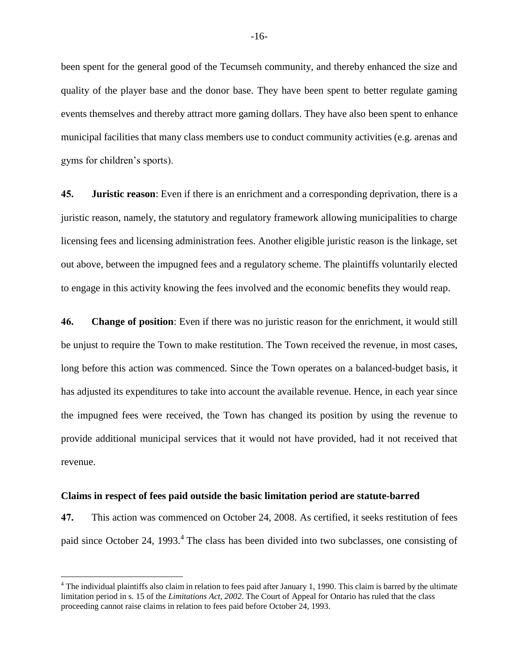been spent for the general good of the Tecumseh community, and thereby enhanced the size and quality of the player base and the donor base. They have been spent to better regulate gaming events themselves and thereby attract more gaming dollars. They have also been spent to enhance municipal facilities that many class members use to conduct community activities (e.g. arenas and gyms for children's sports).

**45. Juristic reason**: Even if there is an enrichment and a corresponding deprivation, there is a juristic reason, namely, the statutory and regulatory framework allowing municipalities to charge licensing fees and licensing administration fees. Another eligible juristic reason is the linkage, set out above, between the impugned fees and a regulatory scheme. The plaintiffs voluntarily elected to engage in this activity knowing the fees involved and the economic benefits they would reap.

**46. Change of position**: Even if there was no juristic reason for the enrichment, it would still be unjust to require the Town to make restitution. The Town received the revenue, in most cases, long before this action was commenced. Since the Town operates on a balanced-budget basis, it has adjusted its expenditures to take into account the available revenue. Hence, in each year since the impugned fees were received, the Town has changed its position by using the revenue to provide additional municipal services that it would not have provided, had it not received that revenue.

#### **Claims in respect of fees paid outside the basic limitation period are statute-barred**

 $\overline{a}$ 

**47.** This action was commenced on October 24, 2008. As certified, it seeks restitution of fees paid since October 24, 1993.<sup>4</sup> The class has been divided into two subclasses, one consisting of

 $<sup>4</sup>$  The individual plaintiffs also claim in relation to fees paid after January 1, 1990. This claim is barred by the ultimate</sup> limitation period in s. 15 of the *Limitations Act, 2002*. The Court of Appeal for Ontario has ruled that the class proceeding cannot raise claims in relation to fees paid before October 24, 1993.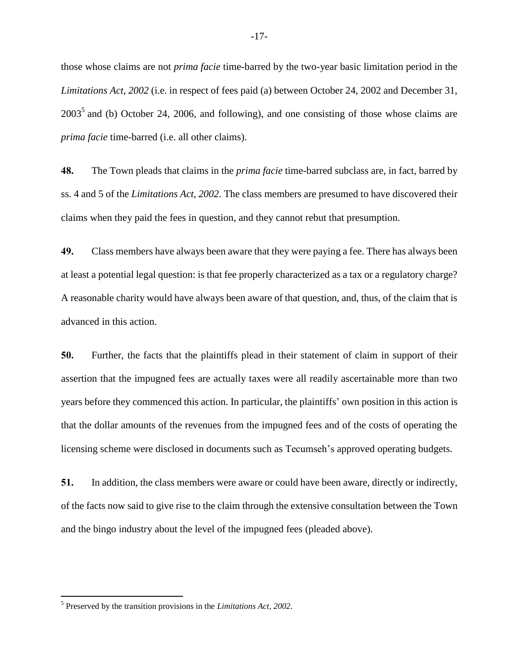those whose claims are not *prima facie* time-barred by the two-year basic limitation period in the *Limitations Act, 2002* (i.e. in respect of fees paid (a) between October 24, 2002 and December 31,  $2003<sup>5</sup>$  and (b) October 24, 2006, and following), and one consisting of those whose claims are *prima facie* time-barred (i.e. all other claims).

**48.** The Town pleads that claims in the *prima facie* time-barred subclass are, in fact, barred by ss. 4 and 5 of the *Limitations Act, 2002*. The class members are presumed to have discovered their claims when they paid the fees in question, and they cannot rebut that presumption.

**49.** Class members have always been aware that they were paying a fee. There has always been at least a potential legal question: is that fee properly characterized as a tax or a regulatory charge? A reasonable charity would have always been aware of that question, and, thus, of the claim that is advanced in this action.

**50.** Further, the facts that the plaintiffs plead in their statement of claim in support of their assertion that the impugned fees are actually taxes were all readily ascertainable more than two years before they commenced this action. In particular, the plaintiffs' own position in this action is that the dollar amounts of the revenues from the impugned fees and of the costs of operating the licensing scheme were disclosed in documents such as Tecumseh's approved operating budgets.

**51.** In addition, the class members were aware or could have been aware, directly or indirectly, of the facts now said to give rise to the claim through the extensive consultation between the Town and the bingo industry about the level of the impugned fees (pleaded above).

 $\overline{a}$ 

<sup>5</sup> Preserved by the transition provisions in the *Limitations Act, 2002*.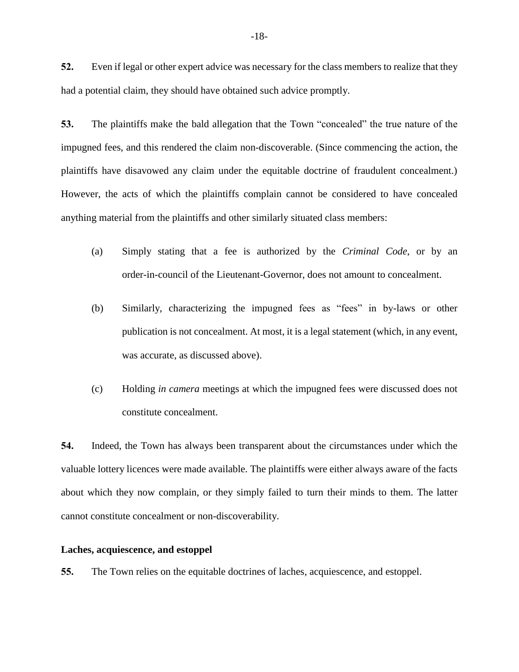**52.** Even if legal or other expert advice was necessary for the class members to realize that they had a potential claim, they should have obtained such advice promptly.

**53.** The plaintiffs make the bald allegation that the Town "concealed" the true nature of the impugned fees, and this rendered the claim non-discoverable. (Since commencing the action, the plaintiffs have disavowed any claim under the equitable doctrine of fraudulent concealment.) However, the acts of which the plaintiffs complain cannot be considered to have concealed anything material from the plaintiffs and other similarly situated class members:

- (a) Simply stating that a fee is authorized by the *Criminal Code*, or by an order-in-council of the Lieutenant-Governor, does not amount to concealment.
- (b) Similarly, characterizing the impugned fees as "fees" in by-laws or other publication is not concealment. At most, it is a legal statement (which, in any event, was accurate, as discussed above).
- (c) Holding *in camera* meetings at which the impugned fees were discussed does not constitute concealment.

**54.** Indeed, the Town has always been transparent about the circumstances under which the valuable lottery licences were made available. The plaintiffs were either always aware of the facts about which they now complain, or they simply failed to turn their minds to them. The latter cannot constitute concealment or non-discoverability.

#### **Laches, acquiescence, and estoppel**

**55.** The Town relies on the equitable doctrines of laches, acquiescence, and estoppel.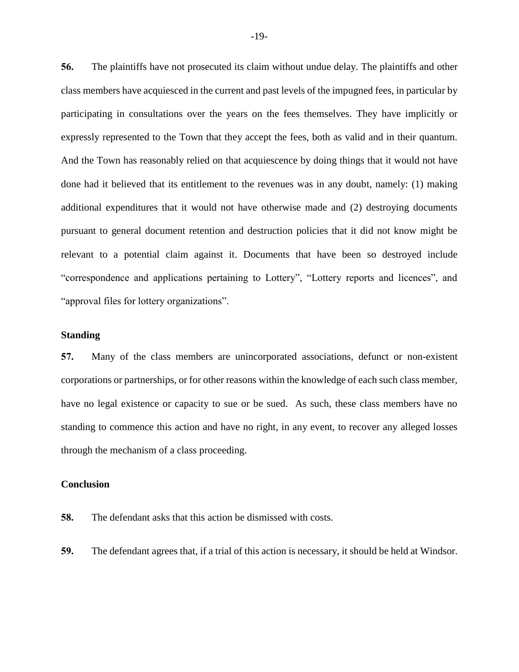**56.** The plaintiffs have not prosecuted its claim without undue delay. The plaintiffs and other class members have acquiesced in the current and past levels of the impugned fees, in particular by participating in consultations over the years on the fees themselves. They have implicitly or expressly represented to the Town that they accept the fees, both as valid and in their quantum. And the Town has reasonably relied on that acquiescence by doing things that it would not have done had it believed that its entitlement to the revenues was in any doubt, namely: (1) making additional expenditures that it would not have otherwise made and (2) destroying documents pursuant to general document retention and destruction policies that it did not know might be relevant to a potential claim against it. Documents that have been so destroyed include "correspondence and applications pertaining to Lottery", "Lottery reports and licences", and "approval files for lottery organizations".

#### **Standing**

**57.** Many of the class members are unincorporated associations, defunct or non-existent corporations or partnerships, or for other reasons within the knowledge of each such class member, have no legal existence or capacity to sue or be sued. As such, these class members have no standing to commence this action and have no right, in any event, to recover any alleged losses through the mechanism of a class proceeding.

#### **Conclusion**

- **58.** The defendant asks that this action be dismissed with costs.
- **59.** The defendant agrees that, if a trial of this action is necessary, it should be held at Windsor.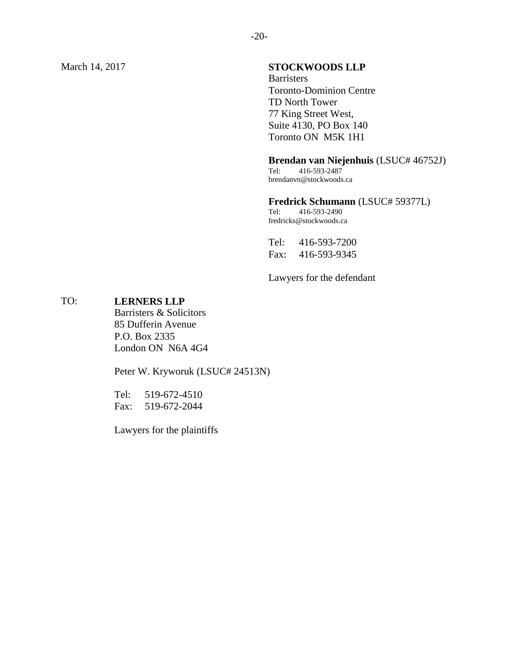## March 14, 2017 **STOCKWOODS LLP**

**Barristers** Toronto-Dominion Centre TD North Tower 77 King Street West, Suite 4130, PO Box 140 Toronto ON M5K 1H1

#### **Brendan van Niejenhuis** (LSUC# 46752J)

Tel: 416-593-2487 brendanvn@stockwoods.ca

# **Fredrick Schumann** (LSUC# 59377L)<br>Tel: 416-593-2490

Tel: 416-593-2490 fredricks@stockwoods.ca

Tel: 416-593-7200 Fax: 416-593-9345

Lawyers for the defendant

#### TO: **LERNERS LLP**

Barristers & Solicitors 85 Dufferin Avenue P.O. Box 2335 London ON N6A 4G4

Peter W. Kryworuk (LSUC# 24513N)

Tel: 519-672-4510 Fax: 519-672-2044

Lawyers for the plaintiffs